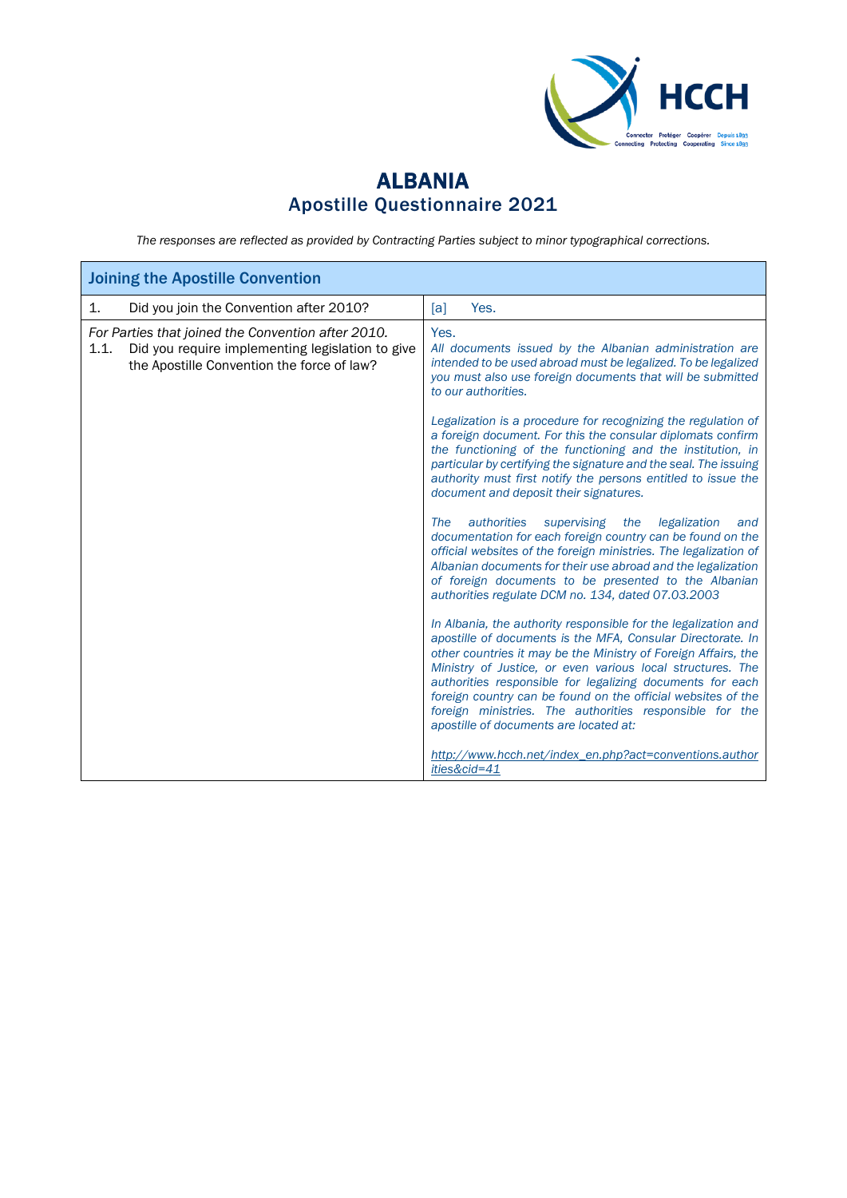

## ALBANIA Apostille Questionnaire 2021

*The responses are reflected as provided by Contracting Parties subject to minor typographical corrections.*

| <b>Joining the Apostille Convention</b>                                                                                                                      |                                                                                                                                                                                                                                                                                                                                                                                                                                                                                                 |  |  |
|--------------------------------------------------------------------------------------------------------------------------------------------------------------|-------------------------------------------------------------------------------------------------------------------------------------------------------------------------------------------------------------------------------------------------------------------------------------------------------------------------------------------------------------------------------------------------------------------------------------------------------------------------------------------------|--|--|
| Did you join the Convention after 2010?<br>1.                                                                                                                | Yes.<br>[a]                                                                                                                                                                                                                                                                                                                                                                                                                                                                                     |  |  |
| For Parties that joined the Convention after 2010.<br>Did you require implementing legislation to give<br>1.1.<br>the Apostille Convention the force of law? | Yes.<br>All documents issued by the Albanian administration are<br>intended to be used abroad must be legalized. To be legalized<br>you must also use foreign documents that will be submitted<br>to our authorities.                                                                                                                                                                                                                                                                           |  |  |
|                                                                                                                                                              | Legalization is a procedure for recognizing the regulation of<br>a foreign document. For this the consular diplomats confirm<br>the functioning of the functioning and the institution, in<br>particular by certifying the signature and the seal. The issuing<br>authority must first notify the persons entitled to issue the<br>document and deposit their signatures.                                                                                                                       |  |  |
|                                                                                                                                                              | authorities<br>supervising the<br>legalization<br>The<br>and<br>documentation for each foreign country can be found on the<br>official websites of the foreign ministries. The legalization of<br>Albanian documents for their use abroad and the legalization<br>of foreign documents to be presented to the Albanian<br>authorities regulate DCM no. 134, dated 07.03.2003                                                                                                                    |  |  |
|                                                                                                                                                              | In Albania, the authority responsible for the legalization and<br>apostille of documents is the MFA, Consular Directorate. In<br>other countries it may be the Ministry of Foreign Affairs, the<br>Ministry of Justice, or even various local structures. The<br>authorities responsible for legalizing documents for each<br>foreign country can be found on the official websites of the<br>foreign ministries. The authorities responsible for the<br>apostille of documents are located at: |  |  |
|                                                                                                                                                              | http://www.hcch.net/index_en.php?act=conventions.author<br>ities&cid=41                                                                                                                                                                                                                                                                                                                                                                                                                         |  |  |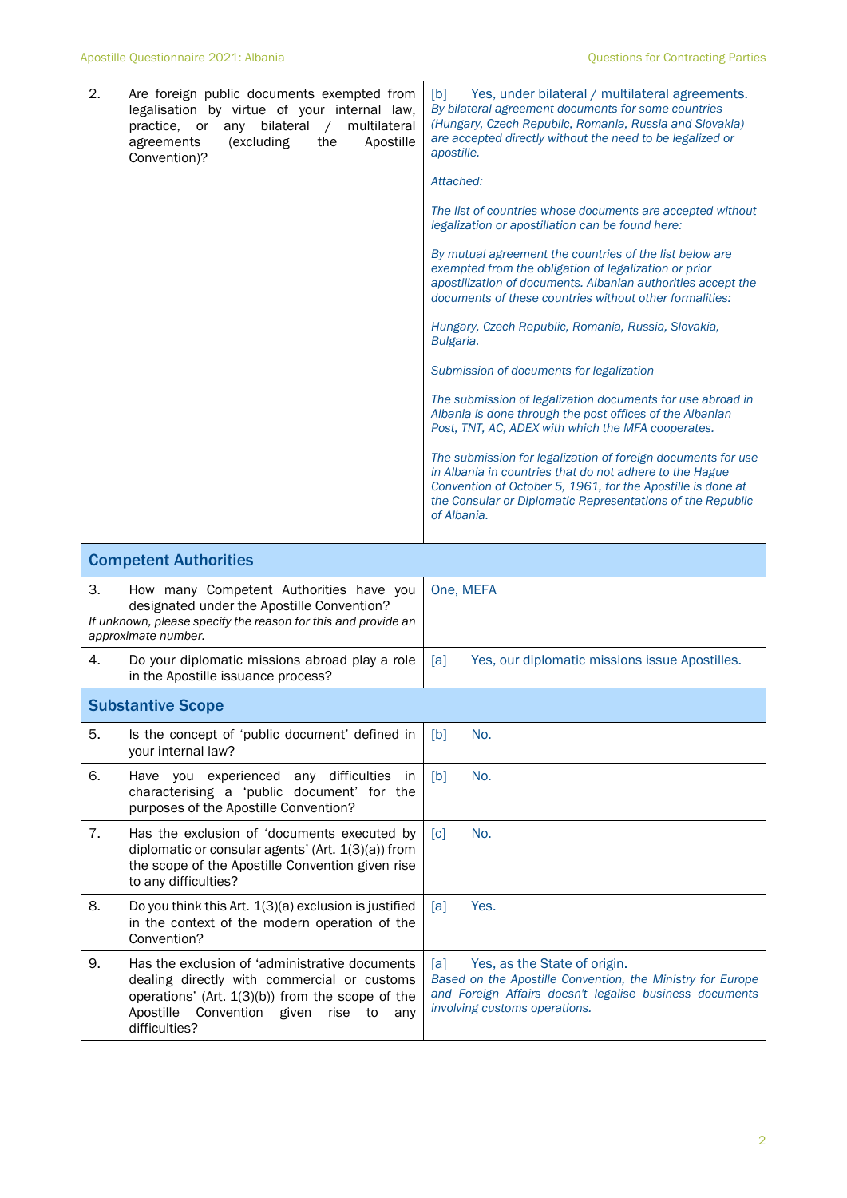| 2. | Are foreign public documents exempted from<br>legalisation by virtue of your internal law,<br>practice, or any bilateral<br>multilateral<br>$\sqrt{2}$<br>(excluding<br>the<br>Apostille<br>agreements<br>Convention)?      | Yes, under bilateral / multilateral agreements.<br>[b]<br>By bilateral agreement documents for some countries<br>(Hungary, Czech Republic, Romania, Russia and Slovakia)<br>are accepted directly without the need to be legalized or<br>apostille.<br>Attached:<br>The list of countries whose documents are accepted without<br>legalization or apostillation can be found here:<br>By mutual agreement the countries of the list below are<br>exempted from the obligation of legalization or prior<br>apostilization of documents. Albanian authorities accept the<br>documents of these countries without other formalities:<br>Hungary, Czech Republic, Romania, Russia, Slovakia,<br>Bulgaria.<br>Submission of documents for legalization<br>The submission of legalization documents for use abroad in<br>Albania is done through the post offices of the Albanian<br>Post, TNT, AC, ADEX with which the MFA cooperates.<br>The submission for legalization of foreign documents for use<br>in Albania in countries that do not adhere to the Hague<br>Convention of October 5, 1961, for the Apostille is done at<br>the Consular or Diplomatic Representations of the Republic<br>of Albania. |
|----|-----------------------------------------------------------------------------------------------------------------------------------------------------------------------------------------------------------------------------|----------------------------------------------------------------------------------------------------------------------------------------------------------------------------------------------------------------------------------------------------------------------------------------------------------------------------------------------------------------------------------------------------------------------------------------------------------------------------------------------------------------------------------------------------------------------------------------------------------------------------------------------------------------------------------------------------------------------------------------------------------------------------------------------------------------------------------------------------------------------------------------------------------------------------------------------------------------------------------------------------------------------------------------------------------------------------------------------------------------------------------------------------------------------------------------------------------|
|    | <b>Competent Authorities</b>                                                                                                                                                                                                |                                                                                                                                                                                                                                                                                                                                                                                                                                                                                                                                                                                                                                                                                                                                                                                                                                                                                                                                                                                                                                                                                                                                                                                                          |
| 3. | How many Competent Authorities have you<br>designated under the Apostille Convention?<br>If unknown, please specify the reason for this and provide an<br>approximate number.                                               | One, MEFA                                                                                                                                                                                                                                                                                                                                                                                                                                                                                                                                                                                                                                                                                                                                                                                                                                                                                                                                                                                                                                                                                                                                                                                                |
| 4. | Do your diplomatic missions abroad play a role<br>in the Apostille issuance process?                                                                                                                                        | Yes, our diplomatic missions issue Apostilles.<br>[a]                                                                                                                                                                                                                                                                                                                                                                                                                                                                                                                                                                                                                                                                                                                                                                                                                                                                                                                                                                                                                                                                                                                                                    |
|    | <b>Substantive Scope</b>                                                                                                                                                                                                    |                                                                                                                                                                                                                                                                                                                                                                                                                                                                                                                                                                                                                                                                                                                                                                                                                                                                                                                                                                                                                                                                                                                                                                                                          |
| 5. | Is the concept of 'public document' defined in<br>your internal law?                                                                                                                                                        | No.<br>[b]                                                                                                                                                                                                                                                                                                                                                                                                                                                                                                                                                                                                                                                                                                                                                                                                                                                                                                                                                                                                                                                                                                                                                                                               |
| 6. | Have you experienced any difficulties<br>in<br>characterising a 'public document' for the<br>purposes of the Apostille Convention?                                                                                          | [b]<br>No.                                                                                                                                                                                                                                                                                                                                                                                                                                                                                                                                                                                                                                                                                                                                                                                                                                                                                                                                                                                                                                                                                                                                                                                               |
| 7. | Has the exclusion of 'documents executed by<br>diplomatic or consular agents' (Art. 1(3)(a)) from<br>the scope of the Apostille Convention given rise<br>to any difficulties?                                               | No.<br>$\lceil c \rceil$                                                                                                                                                                                                                                                                                                                                                                                                                                                                                                                                                                                                                                                                                                                                                                                                                                                                                                                                                                                                                                                                                                                                                                                 |
| 8. | Do you think this Art. 1(3)(a) exclusion is justified<br>in the context of the modern operation of the<br>Convention?                                                                                                       | Yes.<br>[a]                                                                                                                                                                                                                                                                                                                                                                                                                                                                                                                                                                                                                                                                                                                                                                                                                                                                                                                                                                                                                                                                                                                                                                                              |
| 9. | Has the exclusion of 'administrative documents<br>dealing directly with commercial or customs<br>operations' (Art. $1(3)(b)$ ) from the scope of the<br>Apostille<br>Convention given<br>rise<br>to<br>any<br>difficulties? | Yes, as the State of origin.<br>[a]<br>Based on the Apostille Convention, the Ministry for Europe<br>and Foreign Affairs doesn't legalise business documents<br>involving customs operations.                                                                                                                                                                                                                                                                                                                                                                                                                                                                                                                                                                                                                                                                                                                                                                                                                                                                                                                                                                                                            |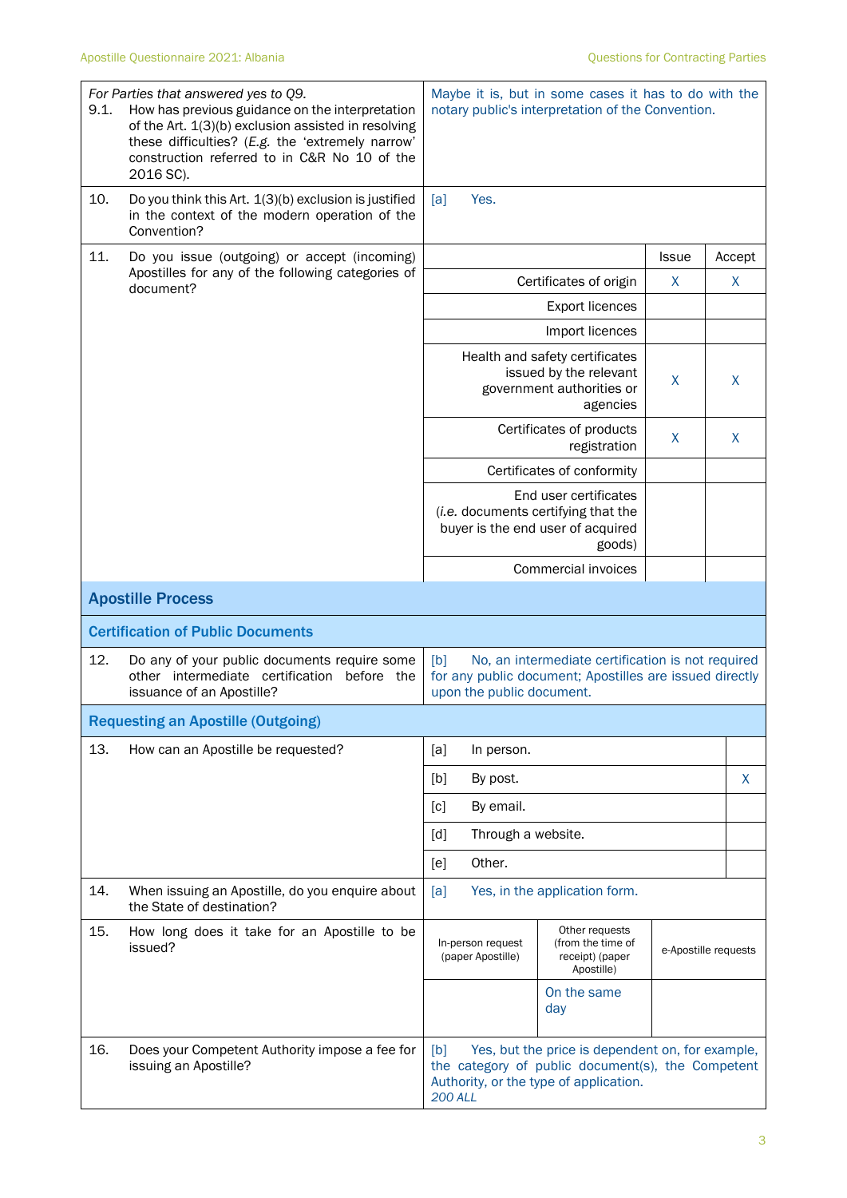| 9.1. | For Parties that answered yes to Q9.<br>How has previous guidance on the interpretation<br>of the Art. 1(3)(b) exclusion assisted in resolving<br>these difficulties? (E.g. the 'extremely narrow'<br>construction referred to in C&R No 10 of the<br>2016 SC). |                                         | Maybe it is, but in some cases it has to do with the<br>notary public's interpretation of the Convention.                                       |              |                      |
|------|-----------------------------------------------------------------------------------------------------------------------------------------------------------------------------------------------------------------------------------------------------------------|-----------------------------------------|-------------------------------------------------------------------------------------------------------------------------------------------------|--------------|----------------------|
| 10.  | Do you think this Art. 1(3)(b) exclusion is justified<br>in the context of the modern operation of the<br>Convention?                                                                                                                                           | Yes.<br>[a]                             |                                                                                                                                                 |              |                      |
| 11.  | Do you issue (outgoing) or accept (incoming)                                                                                                                                                                                                                    |                                         |                                                                                                                                                 | <b>Issue</b> | Accept               |
|      | Apostilles for any of the following categories of<br>document?                                                                                                                                                                                                  |                                         | Certificates of origin                                                                                                                          | X            | X                    |
|      |                                                                                                                                                                                                                                                                 |                                         | <b>Export licences</b>                                                                                                                          |              |                      |
|      |                                                                                                                                                                                                                                                                 |                                         | Import licences                                                                                                                                 |              |                      |
|      |                                                                                                                                                                                                                                                                 |                                         | Health and safety certificates<br>issued by the relevant<br>government authorities or<br>agencies                                               | X            | X                    |
|      |                                                                                                                                                                                                                                                                 |                                         | Certificates of products<br>registration                                                                                                        | X            | X                    |
|      |                                                                                                                                                                                                                                                                 |                                         | Certificates of conformity                                                                                                                      |              |                      |
|      |                                                                                                                                                                                                                                                                 |                                         | End user certificates<br>(i.e. documents certifying that the<br>buyer is the end user of acquired<br>goods)                                     |              |                      |
|      |                                                                                                                                                                                                                                                                 |                                         | Commercial invoices                                                                                                                             |              |                      |
|      | <b>Apostille Process</b>                                                                                                                                                                                                                                        |                                         |                                                                                                                                                 |              |                      |
|      | <b>Certification of Public Documents</b>                                                                                                                                                                                                                        |                                         |                                                                                                                                                 |              |                      |
| 12.  | Do any of your public documents require some<br>other intermediate certification before the<br>issuance of an Apostille?                                                                                                                                        | [b]<br>upon the public document.        | No, an intermediate certification is not required<br>for any public document; Apostilles are issued directly                                    |              |                      |
|      | <b>Requesting an Apostille (Outgoing)</b>                                                                                                                                                                                                                       |                                         |                                                                                                                                                 |              |                      |
| 13.  | How can an Apostille be requested?                                                                                                                                                                                                                              | [a]<br>In person.                       |                                                                                                                                                 |              |                      |
|      |                                                                                                                                                                                                                                                                 | [b]<br>By post.                         |                                                                                                                                                 |              | X                    |
|      |                                                                                                                                                                                                                                                                 | By email.<br>[c]                        |                                                                                                                                                 |              |                      |
|      |                                                                                                                                                                                                                                                                 | Through a website.<br>$\lceil d \rceil$ |                                                                                                                                                 |              |                      |
|      |                                                                                                                                                                                                                                                                 | Other.<br>[e]                           |                                                                                                                                                 |              |                      |
| 14.  | When issuing an Apostille, do you enquire about<br>the State of destination?                                                                                                                                                                                    | [a]                                     | Yes, in the application form.                                                                                                                   |              |                      |
| 15.  | How long does it take for an Apostille to be<br>issued?                                                                                                                                                                                                         | In-person request<br>(paper Apostille)  | Other requests<br>(from the time of<br>receipt) (paper<br>Apostille)                                                                            |              | e-Apostille requests |
|      |                                                                                                                                                                                                                                                                 |                                         | On the same<br>day                                                                                                                              |              |                      |
| 16.  | Does your Competent Authority impose a fee for<br>issuing an Apostille?                                                                                                                                                                                         | [b]<br><b>200 ALL</b>                   | Yes, but the price is dependent on, for example,<br>the category of public document(s), the Competent<br>Authority, or the type of application. |              |                      |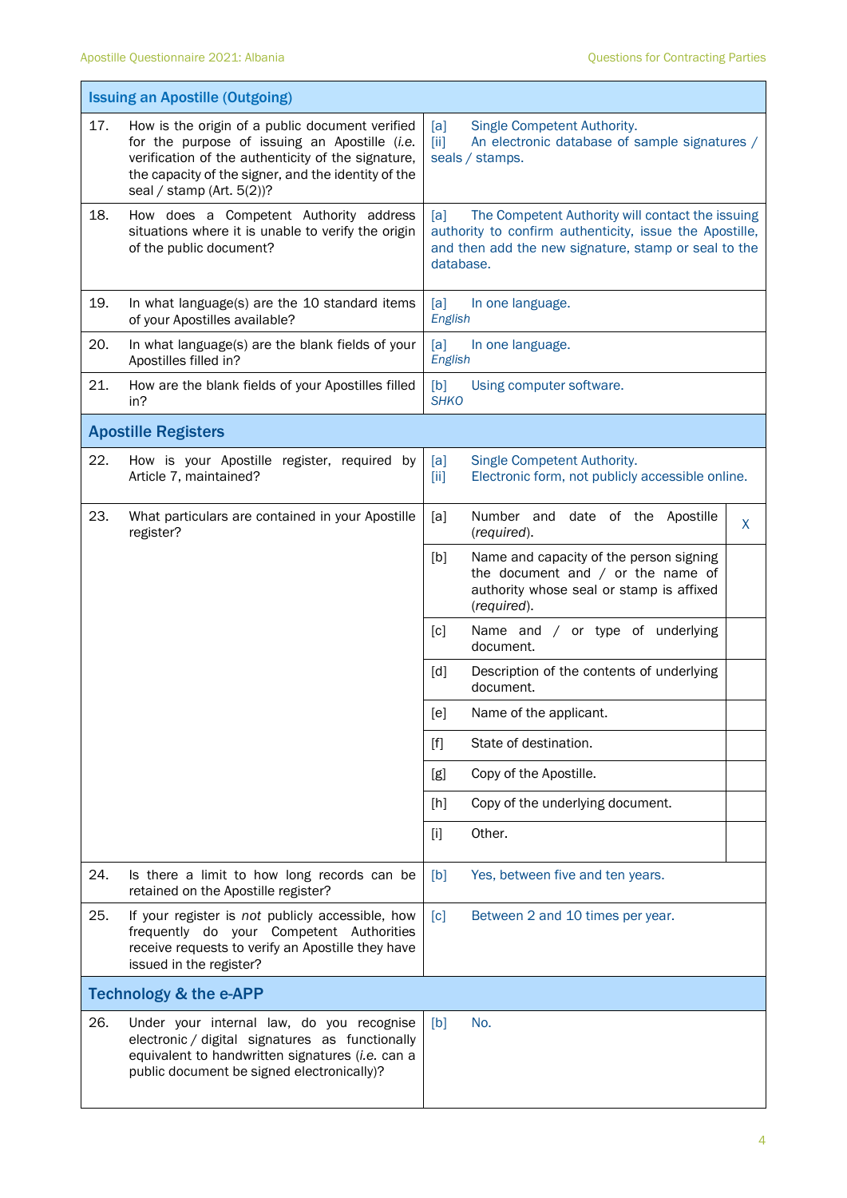$\mathbf{r}$ 

L,

|                                   | <b>Issuing an Apostille (Outgoing)</b>                                                                                                                                                                                                        |                                                                                                                                                                                         |  |  |
|-----------------------------------|-----------------------------------------------------------------------------------------------------------------------------------------------------------------------------------------------------------------------------------------------|-----------------------------------------------------------------------------------------------------------------------------------------------------------------------------------------|--|--|
| 17.                               | How is the origin of a public document verified<br>for the purpose of issuing an Apostille (i.e.<br>verification of the authenticity of the signature,<br>the capacity of the signer, and the identity of the<br>seal / stamp (Art. $5(2)$ )? | Single Competent Authority.<br>[a]<br>An electronic database of sample signatures /<br>[iii]<br>seals / stamps.                                                                         |  |  |
| 18.                               | How does a Competent Authority address<br>situations where it is unable to verify the origin<br>of the public document?                                                                                                                       | [a]<br>The Competent Authority will contact the issuing<br>authority to confirm authenticity, issue the Apostille,<br>and then add the new signature, stamp or seal to the<br>database. |  |  |
| 19.                               | In what language(s) are the 10 standard items<br>of your Apostilles available?                                                                                                                                                                | [a]<br>In one language.<br>English                                                                                                                                                      |  |  |
| 20.                               | In what language(s) are the blank fields of your<br>Apostilles filled in?                                                                                                                                                                     | [a]<br>In one language.<br>English                                                                                                                                                      |  |  |
| 21.                               | How are the blank fields of your Apostilles filled<br>in?                                                                                                                                                                                     | [b]<br>Using computer software.<br><b>SHKO</b>                                                                                                                                          |  |  |
|                                   | <b>Apostille Registers</b>                                                                                                                                                                                                                    |                                                                                                                                                                                         |  |  |
| 22.                               | How is your Apostille register, required by<br>Article 7, maintained?                                                                                                                                                                         | Single Competent Authority.<br>[a]<br>Electronic form, not publicly accessible online.<br>[iii]                                                                                         |  |  |
| 23.                               | What particulars are contained in your Apostille<br>register?                                                                                                                                                                                 | Number and date of the Apostille<br>[a]<br>X<br>(required).                                                                                                                             |  |  |
|                                   |                                                                                                                                                                                                                                               | [b]<br>Name and capacity of the person signing<br>the document and $/$ or the name of<br>authority whose seal or stamp is affixed<br>(required).                                        |  |  |
|                                   |                                                                                                                                                                                                                                               | Name and / or type of underlying<br>[c]<br>document.                                                                                                                                    |  |  |
|                                   |                                                                                                                                                                                                                                               | Description of the contents of underlying<br>$\lceil d \rceil$<br>document.                                                                                                             |  |  |
|                                   |                                                                                                                                                                                                                                               | [e]<br>Name of the applicant.                                                                                                                                                           |  |  |
|                                   |                                                                                                                                                                                                                                               | $[f]$<br>State of destination.                                                                                                                                                          |  |  |
|                                   |                                                                                                                                                                                                                                               | Copy of the Apostille.<br>[g]                                                                                                                                                           |  |  |
|                                   |                                                                                                                                                                                                                                               | Copy of the underlying document.<br>[h]                                                                                                                                                 |  |  |
|                                   |                                                                                                                                                                                                                                               | Other.<br>[i]                                                                                                                                                                           |  |  |
| 24.                               | Is there a limit to how long records can be<br>retained on the Apostille register?                                                                                                                                                            | Yes, between five and ten years.<br>[b]                                                                                                                                                 |  |  |
| 25.                               | If your register is not publicly accessible, how<br>frequently do your Competent Authorities<br>receive requests to verify an Apostille they have<br>issued in the register?                                                                  | [c]<br>Between 2 and 10 times per year.                                                                                                                                                 |  |  |
| <b>Technology &amp; the e-APP</b> |                                                                                                                                                                                                                                               |                                                                                                                                                                                         |  |  |
| 26.                               | Under your internal law, do you recognise<br>electronic / digital signatures as functionally<br>equivalent to handwritten signatures (i.e. can a<br>public document be signed electronically)?                                                | No.<br>[b]                                                                                                                                                                              |  |  |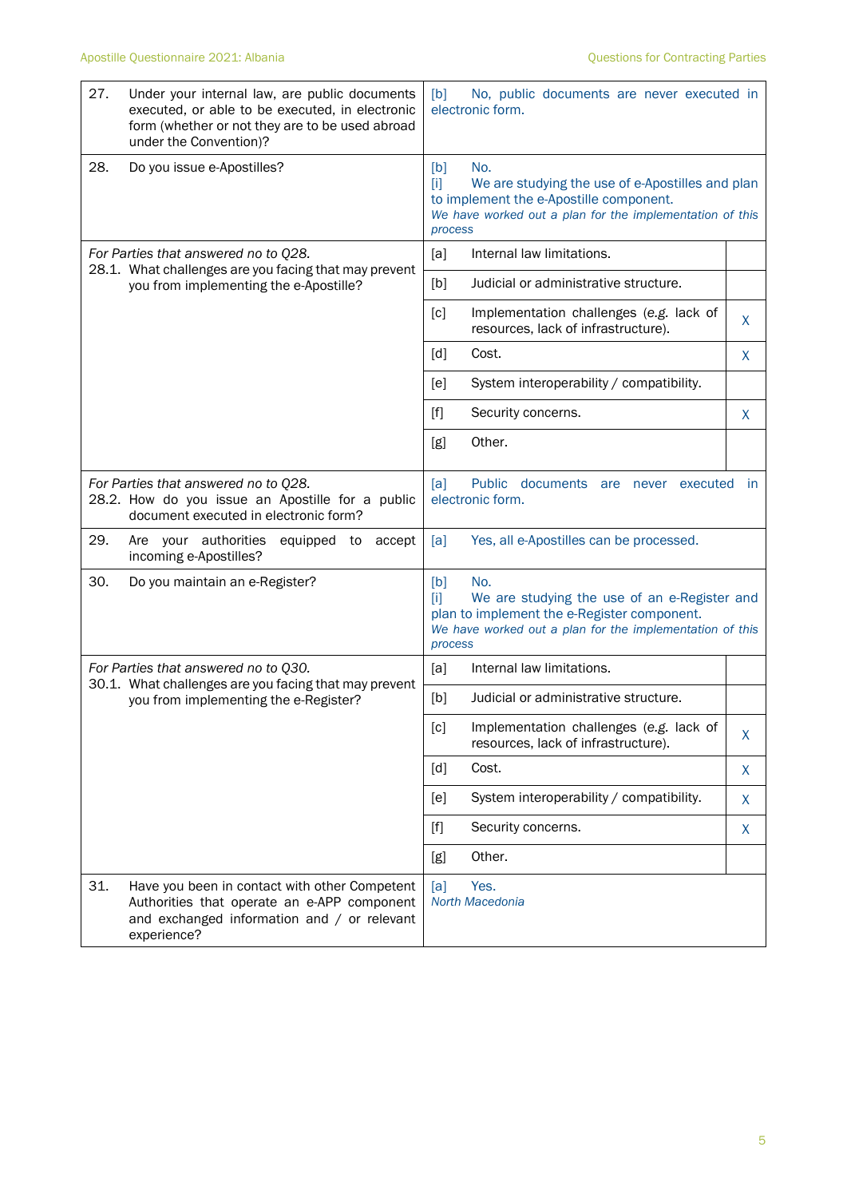| 27. | Under your internal law, are public documents<br>executed, or able to be executed, in electronic<br>form (whether or not they are to be used abroad<br>under the Convention)? | No, public documents are never executed in<br>[b]<br>electronic form.                                                                                                                            |                                                                                |           |
|-----|-------------------------------------------------------------------------------------------------------------------------------------------------------------------------------|--------------------------------------------------------------------------------------------------------------------------------------------------------------------------------------------------|--------------------------------------------------------------------------------|-----------|
| 28. | Do you issue e-Apostilles?                                                                                                                                                    | [b]<br>No.<br>[1]<br>We are studying the use of e-Apostilles and plan<br>to implement the e-Apostille component.<br>We have worked out a plan for the implementation of this<br>process          |                                                                                |           |
|     | For Parties that answered no to Q28.                                                                                                                                          | [a]                                                                                                                                                                                              | Internal law limitations.                                                      |           |
|     | 28.1. What challenges are you facing that may prevent<br>you from implementing the e-Apostille?                                                                               | [b]                                                                                                                                                                                              | Judicial or administrative structure.                                          |           |
|     |                                                                                                                                                                               | [c]                                                                                                                                                                                              | Implementation challenges (e.g. lack of<br>resources, lack of infrastructure). | X         |
|     |                                                                                                                                                                               | [d]                                                                                                                                                                                              | Cost.                                                                          | X         |
|     |                                                                                                                                                                               | [e]                                                                                                                                                                                              | System interoperability / compatibility.                                       |           |
|     |                                                                                                                                                                               | $[f]$                                                                                                                                                                                            | Security concerns.                                                             | X         |
|     |                                                                                                                                                                               | [g]                                                                                                                                                                                              | Other.                                                                         |           |
|     | For Parties that answered no to Q28.<br>28.2. How do you issue an Apostille for a public<br>document executed in electronic form?                                             | Public documents are never executed<br>[a]<br>electronic form.                                                                                                                                   |                                                                                | <b>in</b> |
| 29. | Are your authorities<br>equipped to<br>accept<br>incoming e-Apostilles?                                                                                                       | Yes, all e-Apostilles can be processed.<br>[a]                                                                                                                                                   |                                                                                |           |
| 30. | Do you maintain an e-Register?                                                                                                                                                | [b]<br>No.<br>We are studying the use of an e-Register and<br>m<br>plan to implement the e-Register component.<br>We have worked out a plan for the implementation of this<br>process            |                                                                                |           |
|     | For Parties that answered no to Q30.<br>30.1. What challenges are you facing that may prevent                                                                                 | [a]                                                                                                                                                                                              | Internal law limitations.                                                      |           |
|     | you from implementing the e-Register?                                                                                                                                         | [b]                                                                                                                                                                                              | Judicial or administrative structure.                                          |           |
|     |                                                                                                                                                                               | [c]                                                                                                                                                                                              | Implementation challenges (e.g. lack of<br>resources, lack of infrastructure). | X         |
|     |                                                                                                                                                                               | [d]                                                                                                                                                                                              | Cost.                                                                          | X         |
|     |                                                                                                                                                                               | [e]                                                                                                                                                                                              | System interoperability / compatibility.                                       | X         |
|     |                                                                                                                                                                               | $[f] % \begin{center} % \includegraphics[width=\linewidth]{imagesSupplemental_3.png} % \end{center} % \caption { % Our method can be used for the use of the image. % } % \label{fig:example} %$ | Security concerns.                                                             | X         |
|     |                                                                                                                                                                               | [g]                                                                                                                                                                                              | Other.                                                                         |           |
| 31. | Have you been in contact with other Competent<br>Authorities that operate an e-APP component<br>and exchanged information and / or relevant<br>experience?                    | [a]                                                                                                                                                                                              | Yes.<br>North Macedonia                                                        |           |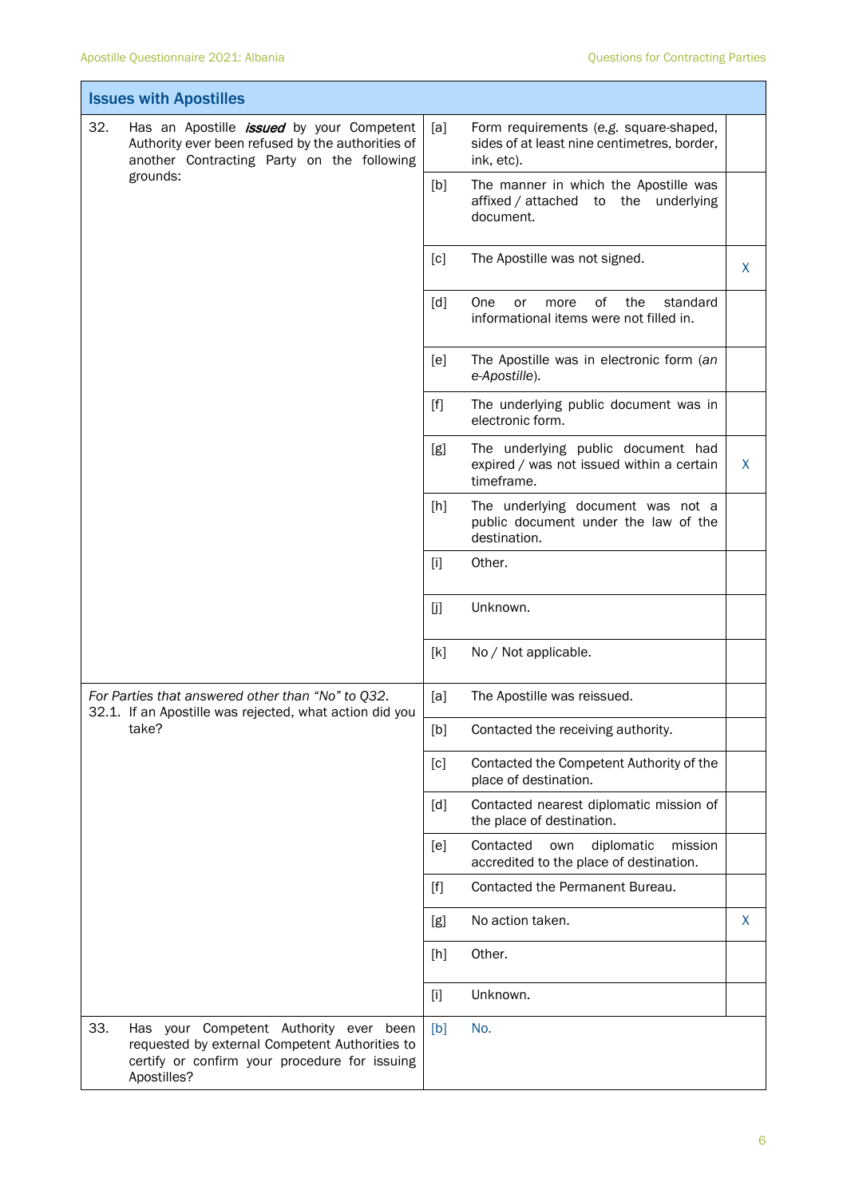F

Ť

| <b>Issues with Apostilles</b>                                                                                                                                   |                                                                                                            |  |  |  |  |
|-----------------------------------------------------------------------------------------------------------------------------------------------------------------|------------------------------------------------------------------------------------------------------------|--|--|--|--|
| 32.<br>Has an Apostille <i>issued</i> by your Competent<br>Authority ever been refused by the authorities of<br>another Contracting Party on the following      | [a]<br>Form requirements (e.g. square-shaped,<br>sides of at least nine centimetres, border,<br>ink, etc). |  |  |  |  |
| grounds:                                                                                                                                                        | [b]<br>The manner in which the Apostille was<br>affixed / attached to the underlying<br>document.          |  |  |  |  |
|                                                                                                                                                                 | The Apostille was not signed.<br>[c]<br>X.                                                                 |  |  |  |  |
|                                                                                                                                                                 | [d]<br>One<br>of<br>the<br>standard<br>or<br>more<br>informational items were not filled in.               |  |  |  |  |
|                                                                                                                                                                 | The Apostille was in electronic form (an<br>[e]<br>e-Apostille).                                           |  |  |  |  |
|                                                                                                                                                                 | The underlying public document was in<br>$[f]$<br>electronic form.                                         |  |  |  |  |
|                                                                                                                                                                 | The underlying public document had<br>[g]<br>expired / was not issued within a certain<br>X<br>timeframe.  |  |  |  |  |
|                                                                                                                                                                 | The underlying document was not a<br>$[h]$<br>public document under the law of the<br>destination.         |  |  |  |  |
|                                                                                                                                                                 | Other.<br>$[1]$                                                                                            |  |  |  |  |
|                                                                                                                                                                 | Unknown.<br>[j]                                                                                            |  |  |  |  |
|                                                                                                                                                                 | [k]<br>No / Not applicable.                                                                                |  |  |  |  |
| For Parties that answered other than "No" to Q32.<br>32.1. If an Apostille was rejected, what action did you                                                    | The Apostille was reissued.<br>[a]                                                                         |  |  |  |  |
| take?                                                                                                                                                           | [b]<br>Contacted the receiving authority.                                                                  |  |  |  |  |
|                                                                                                                                                                 | [c]<br>Contacted the Competent Authority of the<br>place of destination.                                   |  |  |  |  |
|                                                                                                                                                                 | Contacted nearest diplomatic mission of<br>[d]<br>the place of destination.                                |  |  |  |  |
|                                                                                                                                                                 | diplomatic<br>Contacted<br>mission<br>[e]<br>own<br>accredited to the place of destination.                |  |  |  |  |
|                                                                                                                                                                 | Contacted the Permanent Bureau.<br>$[f]$                                                                   |  |  |  |  |
|                                                                                                                                                                 | No action taken.<br>X<br>[g]                                                                               |  |  |  |  |
|                                                                                                                                                                 | Other.<br>[h]                                                                                              |  |  |  |  |
|                                                                                                                                                                 | [i]<br>Unknown.                                                                                            |  |  |  |  |
| 33.<br>Has your Competent Authority ever been<br>requested by external Competent Authorities to<br>certify or confirm your procedure for issuing<br>Apostilles? | No.<br>[b]                                                                                                 |  |  |  |  |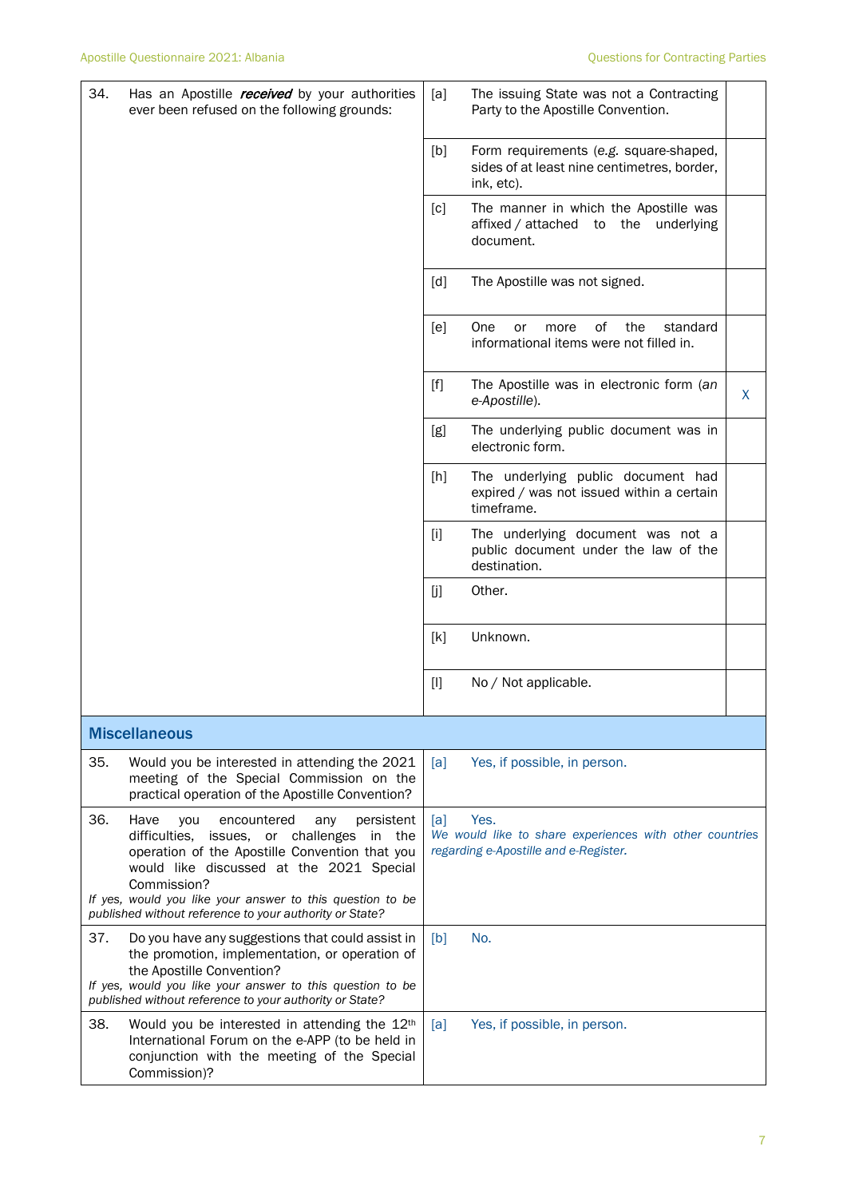| 34. | Has an Apostille <i>received</i> by your authorities<br>ever been refused on the following grounds:                                                                                                                                                                                                                                         | [a]                                                                                                             | The issuing State was not a Contracting<br>Party to the Apostille Convention.                       |   |
|-----|---------------------------------------------------------------------------------------------------------------------------------------------------------------------------------------------------------------------------------------------------------------------------------------------------------------------------------------------|-----------------------------------------------------------------------------------------------------------------|-----------------------------------------------------------------------------------------------------|---|
|     |                                                                                                                                                                                                                                                                                                                                             | [b]                                                                                                             | Form requirements (e.g. square-shaped,<br>sides of at least nine centimetres, border,<br>ink, etc). |   |
|     |                                                                                                                                                                                                                                                                                                                                             | [c]                                                                                                             | The manner in which the Apostille was<br>affixed / attached to the underlying<br>document.          |   |
|     |                                                                                                                                                                                                                                                                                                                                             | [d]                                                                                                             | The Apostille was not signed.                                                                       |   |
|     |                                                                                                                                                                                                                                                                                                                                             | [e]                                                                                                             | <b>One</b><br>οf<br>the<br>standard<br>or<br>more<br>informational items were not filled in.        |   |
|     |                                                                                                                                                                                                                                                                                                                                             | $[f]$                                                                                                           | The Apostille was in electronic form (an<br>e-Apostille).                                           | X |
|     |                                                                                                                                                                                                                                                                                                                                             | [g]                                                                                                             | The underlying public document was in<br>electronic form.                                           |   |
|     |                                                                                                                                                                                                                                                                                                                                             | [h]                                                                                                             | The underlying public document had<br>expired / was not issued within a certain<br>timeframe.       |   |
|     |                                                                                                                                                                                                                                                                                                                                             | $[1]$                                                                                                           | The underlying document was not a<br>public document under the law of the<br>destination.           |   |
|     |                                                                                                                                                                                                                                                                                                                                             | [j                                                                                                              | Other.                                                                                              |   |
|     |                                                                                                                                                                                                                                                                                                                                             | [k]                                                                                                             | Unknown.                                                                                            |   |
|     |                                                                                                                                                                                                                                                                                                                                             | $[1]$                                                                                                           | No / Not applicable.                                                                                |   |
|     | <b>Miscellaneous</b>                                                                                                                                                                                                                                                                                                                        |                                                                                                                 |                                                                                                     |   |
| 35. | Would you be interested in attending the 2021<br>meeting of the Special Commission on the<br>practical operation of the Apostille Convention?                                                                                                                                                                                               | [a]                                                                                                             | Yes, if possible, in person.                                                                        |   |
| 36. | Have<br>encountered<br>you<br>any<br>persistent<br>issues, or challenges<br>difficulties,<br>the<br>in<br>operation of the Apostille Convention that you<br>would like discussed at the 2021 Special<br>Commission?<br>If yes, would you like your answer to this question to be<br>published without reference to your authority or State? | Yes.<br>[a]<br>We would like to share experiences with other countries<br>regarding e-Apostille and e-Register. |                                                                                                     |   |
| 37. | Do you have any suggestions that could assist in<br>the promotion, implementation, or operation of<br>the Apostille Convention?<br>If yes, would you like your answer to this question to be                                                                                                                                                | [b]                                                                                                             | No.                                                                                                 |   |
| 38. | published without reference to your authority or State?<br>Would you be interested in attending the 12th<br>International Forum on the e-APP (to be held in<br>conjunction with the meeting of the Special<br>Commission)?                                                                                                                  | [a]                                                                                                             | Yes, if possible, in person.                                                                        |   |